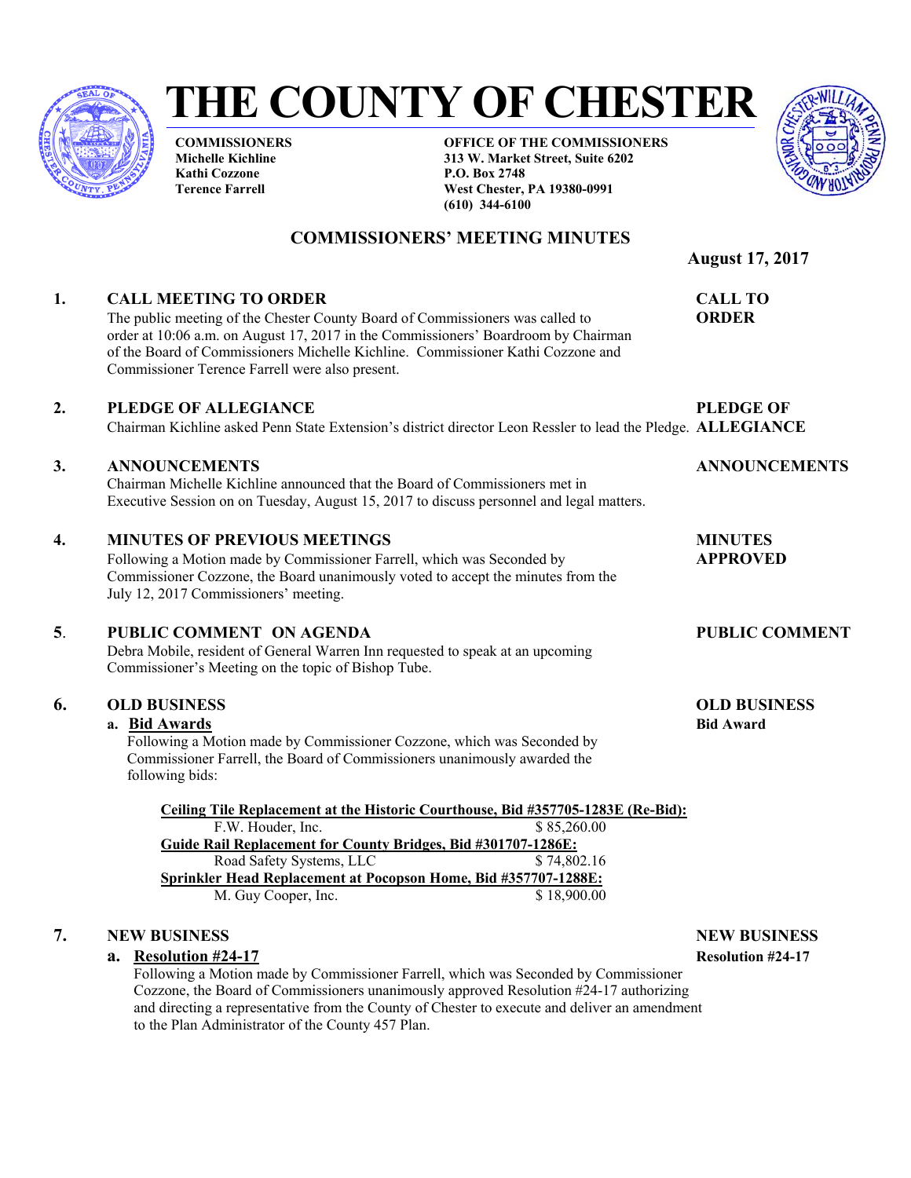

# **THE COUNTY OF CHESTER**

**COMMISSIONERS Michelle Kichline Kathi Cozzone Terence Farrell** 

**OFFICE OF THE COMMISSIONERS 313 W. Market Street, Suite 6202 P.O. Box 2748 West Chester, PA 19380-0991 (610) 344-6100** 



# **COMMISSIONERS' MEETING MINUTES**

 **August 17, 2017** 

# **1. CALL MEETING TO ORDER CALL TO**

The public meeting of the Chester County Board of Commissioners was called to **ORDER** order at 10:06 a.m. on August 17, 2017 in the Commissioners' Boardroom by Chairman of the Board of Commissioners Michelle Kichline. Commissioner Kathi Cozzone and Commissioner Terence Farrell were also present.

# **2. PLEDGE OF ALLEGIANCE PLEDGE OF**

Chairman Kichline asked Penn State Extension's district director Leon Ressler to lead the Pledge. **ALLEGIANCE** 

# **3. ANNOUNCEMENTS ANNOUNCEMENTS**

 Chairman Michelle Kichline announced that the Board of Commissioners met in Executive Session on on Tuesday, August 15, 2017 to discuss personnel and legal matters.

# **4. MINUTES OF PREVIOUS MEETINGS MINUTES**

Following a Motion made by Commissioner Farrell, which was Seconded by **APPROVED** Commissioner Cozzone, the Board unanimously voted to accept the minutes from the July 12, 2017 Commissioners' meeting.

# **5**. **PUBLIC COMMENT ON AGENDA PUBLIC COMMENT**

Debra Mobile, resident of General Warren Inn requested to speak at an upcoming Commissioner's Meeting on the topic of Bishop Tube.

# **6. OLD BUSINESS OLD BUSINESS**

# **a. Bid Awards Bid Awards Bid Award Bid Award Bid Award Bid Award Bid Award**

Following a Motion made by Commissioner Cozzone, which was Seconded by Commissioner Farrell, the Board of Commissioners unanimously awarded the following bids:

**Ceiling Tile Replacement at the Historic Courthouse, Bid #357705-1283E (Re-Bid):**  F.W. Houder, Inc. \$ 85,260.00 **Guide Rail Replacement for County Bridges, Bid #301707-1286E:** Road Safety Systems, LLC \$ 74,802.16 **Sprinkler Head Replacement at Pocopson Home, Bid #357707-1288E:** M. Guy Cooper, Inc. \$ 18,900.00

# **7. NEW BUSINESS NEW BUSINESS**

### **a. Resolution #24-17 Resolution #24-17**

Following a Motion made by Commissioner Farrell, which was Seconded by Commissioner Cozzone, the Board of Commissioners unanimously approved Resolution #24-17 authorizing and directing a representative from the County of Chester to execute and deliver an amendment to the Plan Administrator of the County 457 Plan.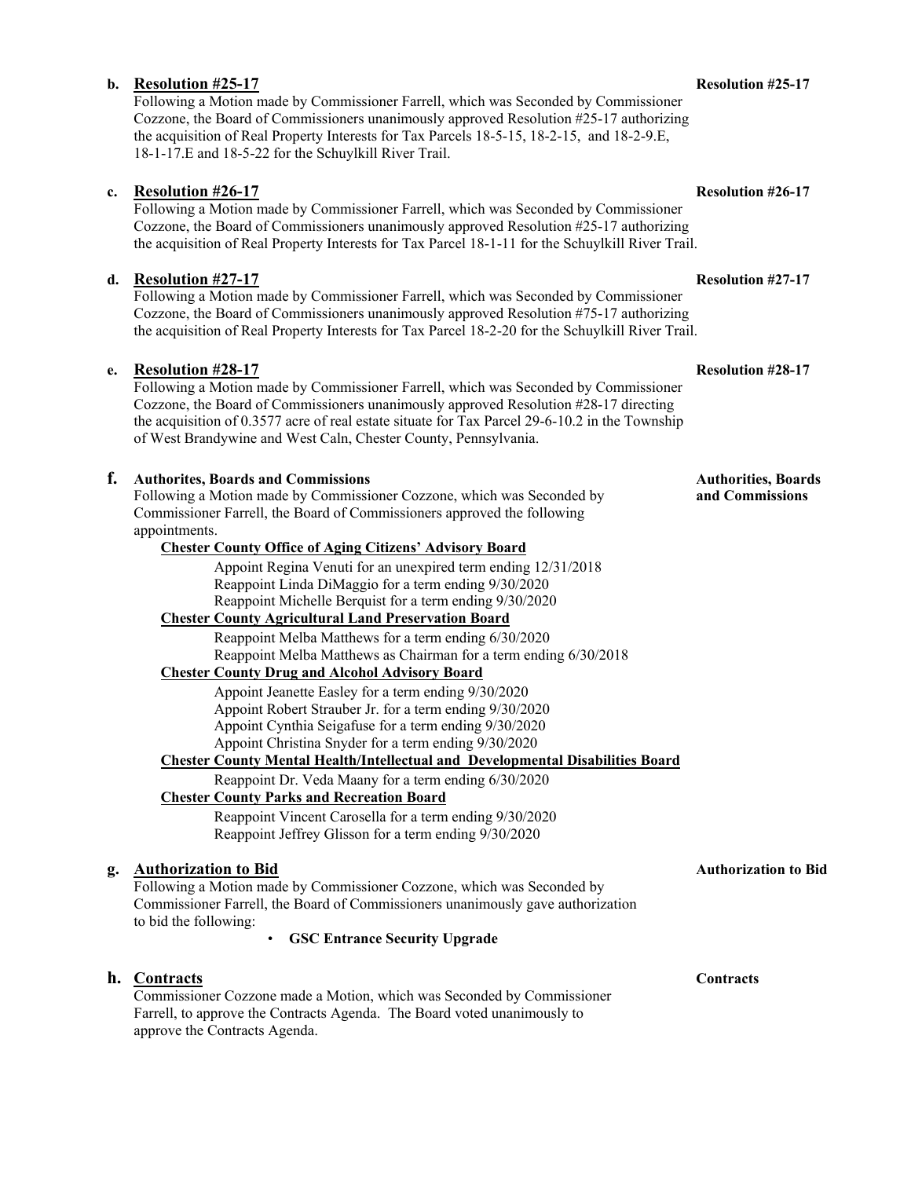# **b. Resolution #25-17 Resolution #25-17**

Following a Motion made by Commissioner Farrell, which was Seconded by Commissioner Cozzone, the Board of Commissioners unanimously approved Resolution #25-17 authorizing the acquisition of Real Property Interests for Tax Parcels 18-5-15, 18-2-15, and 18-2-9.E, 18-1-17.E and 18-5-22 for the Schuylkill River Trail.

### **c. Resolution #26-17 Resolution #26-17**

Following a Motion made by Commissioner Farrell, which was Seconded by Commissioner Cozzone, the Board of Commissioners unanimously approved Resolution #25-17 authorizing the acquisition of Real Property Interests for Tax Parcel 18-1-11 for the Schuylkill River Trail.

### **d. Resolution #27-17 Resolution #27-17**

Following a Motion made by Commissioner Farrell, which was Seconded by Commissioner Cozzone, the Board of Commissioners unanimously approved Resolution #75-17 authorizing the acquisition of Real Property Interests for Tax Parcel 18-2-20 for the Schuylkill River Trail.

### **e. Resolution #28-17 Resolution #28-17**

Following a Motion made by Commissioner Farrell, which was Seconded by Commissioner Cozzone, the Board of Commissioners unanimously approved Resolution #28-17 directing the acquisition of 0.3577 acre of real estate situate for Tax Parcel 29-6-10.2 in the Township of West Brandywine and West Caln, Chester County, Pennsylvania.

### **f.** Authorites, Boards and Commissions Authorities, Boards Authorities, Boards

Following a Motion made by Commissioner Cozzone, which was Seconded by **and Commissions** Commissioner Farrell, the Board of Commissioners approved the following appointments.

# **Chester County Office of Aging Citizens' Advisory Board**

Appoint Regina Venuti for an unexpired term ending 12/31/2018 Reappoint Linda DiMaggio for a term ending 9/30/2020 Reappoint Michelle Berquist for a term ending 9/30/2020

# **Chester County Agricultural Land Preservation Board**

Reappoint Melba Matthews for a term ending 6/30/2020 Reappoint Melba Matthews as Chairman for a term ending 6/30/2018

### **Chester County Drug and Alcohol Advisory Board**

Appoint Jeanette Easley for a term ending 9/30/2020

Appoint Robert Strauber Jr. for a term ending 9/30/2020

Appoint Cynthia Seigafuse for a term ending 9/30/2020

Appoint Christina Snyder for a term ending 9/30/2020 **Chester County Mental Health/Intellectual and Developmental Disabilities Board** 

Reappoint Dr. Veda Maany for a term ending 6/30/2020

# **Chester County Parks and Recreation Board**

Reappoint Vincent Carosella for a term ending 9/30/2020 Reappoint Jeffrey Glisson for a term ending 9/30/2020

# **g.** Authorization to Bid **Authorization to Bid** Authorization to Bid

Following a Motion made by Commissioner Cozzone, which was Seconded by Commissioner Farrell, the Board of Commissioners unanimously gave authorization to bid the following:

• **GSC Entrance Security Upgrade** 

### **h. Contracts Contracts Contracts**

Commissioner Cozzone made a Motion, which was Seconded by Commissioner Farrell, to approve the Contracts Agenda. The Board voted unanimously to approve the Contracts Agenda.